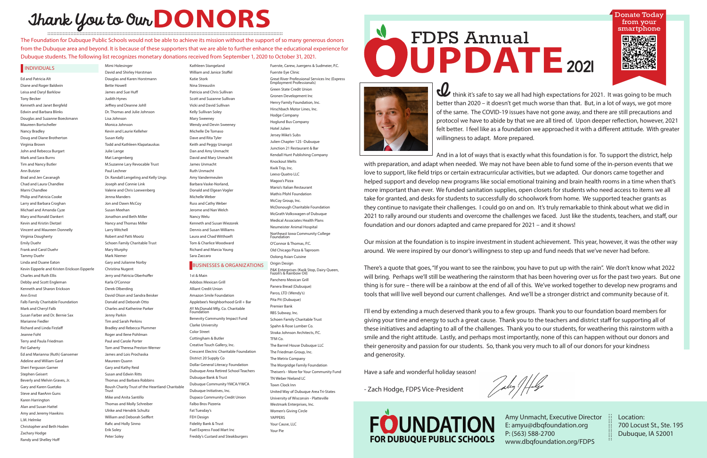## Thank You to Our **DONORS :::::::::::::::::::::::::::::::::::::::::::::::::::::::::::::::::::::::::::::::::::::::::::::::::::::::::::::::::::::::::::::::::::::::::::::::::::::::::**

Ed and Patricia Alt Diane and Roger Baldwin Leisa and Daryl Barklow Tony Becker Kenneth and Janet Bergfeld Edwin and Barbara Blinks Douglas and Suzanne Boeckmann Maureen Bortscheller Nancy Bradley Doug and Diane Brotherton Virginia Brown John and Rebecca Burgart Mark and Sara Burns Tim and Nancy Butler Ann Butzier Brad and Jen Cavanagh Chad and Laura Chandlee Marni Chandlee Philip and Patricia Cooke Larry and Barbara Croghan Michael and Amanda Cyze Mary and Ronald Dankert Kevin and Kristin Dietzel Vincent and Maureen Donnelly Virginia Dougherty Emily Duehr Frank and Carol Dueh **Tammy Dueh** Linda and Duane Eaton Kevin Eipperle and Kristen Erickson Eipperle Charles and Ruth Ellis Debby and Scott Engleman Kenneth and Sharon Erickson Ann Ernst Falb Family Charitable Foundation Mark and Cheryl Falb Susan Farber and Dr. Bernie Sax Marianne Fiedle Richard and Linda Firzlaff Jeanne Foht Terry and Paula Friedman Pat Gaherty Ed and Marianna (Ruth) Gansemer Adeline and William Gard Sheri Ferguson Garne Stephen Geisert Beverly and Melvin Graves, Jr. Gary and Karen Guetzko Steve and RaeAnn Guns Karen Harrington Alan and Susan Hattel Amy and Jeremy Hawkins L.M. Helmke Christopher and Beth Hoden Zachary Hodge Randy and Shelley Hoff

The Foundation for Dubuque Public Schools would not be able to achieve its mission without the support of so many generous donors from the Dubuque area and beyond. It is because of these supporters that we are able to further enhance the educational experience for Dubuque students. The following list recognizes monetary donations received from September 1, 2020 to October 31, 2021. Ne Foundation for Dubuque Public Schools would not be able to achieve its mission without the support of so many generous donors<br>
om the Dubuque area and beyond. It is because of these supporters that we are able to furthe

Mimi Holesinger David and Shirley Horstman Douglas and Karen Horstmann Bette Howell James and Sue Huff Judith Hynes Jeffrey and Deanne Johll Dr. Thomas and Julie Johnson Lisa Johnson Monica Johnson Kevin and Laurie Kelleher Susan Kelly Todd and Kathleen Klapatauskas Julie Lange Mat Langenberg M.Suzanne Lary Revocable Trust Paul Lechner Dr. Randall Lengeling and Kelly Ungs Joseph and Connie Link Valerie and Chris Loewenberg Jenna Manders Jon and Dawn McCoy Susan Meehan Jonathon and Beth Miller Nancy and Thomas Miller Larry Mitchell Robert and Patti Mootz Schoen Family Charitable Trust Mary Murphy Mark Niemer Gary and Julianne Norby Christina Nugent Jerry and Patricia Oberhoffer Karla O'Connor Derek Olberding David Olson and Sandra Beisker Donald and Deborah Otto Charles and Katherine Parker Jenny Parkin Tim and Sarah Perkins Bradley and Rebecca Plummer Roger and Ilene Pohlman Paul and Carole Porter Tom and Theresa Preston-Werner James and Lois Prochaska Maureen Quann Gary and Kathy Reid Susan and Edwin Ritts Thomas and Barbara Robbins Roush Charity Trust of the Heartland Charitable Trust Mike and Anita Santillo Thomas and Molly Schreiber Ulrike and Hendrik Schultz William and Deborah Seiffert Rafic and Holly Sinno Erik Soley Peter Soley

think it's safe to say we all had high expectations for 2021. It was going to be much better than 2020 – it doesn't get much worse than that. But, in a lot of ways, we got more of the same. The COVID-19 issues have not gone away, and there are still precautions and protocol we have to abide by that we are all tired of. Upon deeper reflection, however, 2021 felt better. I feel like as a foundation we approached it with a different attitude. With greater willingness to adapt. More prepared.

Kathleen Stangeland William and Janice Stoffel Katie Stork Nina Streauslin Patricia and Chris Sullivan Scott and Suzanne Sullivan Vicki and David Sullivan Kelly Sullivan Soley Mary Sweeney Wendy and Devin Sweeney Michelle De Tomaso Dave and Rita Tyler Keith and Peggy Unangst Dan and Amy Unmacht David and Mary Unmacht James Unmacht Ruth Unmacht Amy Vandermeulen Barbara Vaske-Norland, Donald and Elgean Vogler Michelle Weber Russ and Cathy Weber Jerome and Nan Welch Nancy Welu Kenneth and Susan Wiezorek Dennis and Susan Williams Laura and Chad Witthoeft Tom & Charlice Woodward Richard and Marcia Young

Sara Zaccaro

1st & Main Adobos Mexican Grill Alliant Credit Union Amazon Smile Foundation Applebee's Neighborhood Grill + Bar AY McDonald Mfg. Co. Charitable **Foundation** Benevity Community Impact Fund Clarke University Color Street Cottingham & Butler Creative Touch Gallery, Inc. Crescent Electric Charitable Foundation District 20 Supply Co Dollar General Literacy Foundation Dubuque Area Retired School Teachers Dubuque Bank & Trust Dubuque Community YMCA/YWCA Dubuque Initiatives, Inc. Dupaco Community Credit Union Falbo Bros Pizzeria Fat Tuesday's FEH Design Fidelity Bank & Trust Fuel Express Food Mart Inc Freddy's Custard and Steakburgers

Fuerste, Carew, Juergens & Sudmeier, P.C.

Fuerste Eye Clinic

Great River Professional Services Inc (Express Employment Professionals) Green State Credit Union Gronen Development Inc Henry Family Foundation, Inc. Hirschbach Motor Lines, Inc. Hodge Company Hoglund Bus Company Hotel Julien Jersey Mike's Subs Julien Chapter 125 -Dubuque Junction 21 Restaurant & Bar Kendall Hunt Publishing Company Knockout Melts Kwik Trip, Inc. Leeso Quatro LLC Magoo's Pizza Mario's Italian Restaurant Mathis Pfohl Foundation McCoy Group, Inc. McDonough Charitable Foundation McGrath Volkswagen of Dubuque Medical Associates Health Plans Neumeister Animal Hospital Northeast Iowa Community College Foundation O'Connor & Thomas, P.C. Old Chicago Pizza & Taproom Oolong Asian Cuisine Origin Design P&K Enterprises (Kwik Stop, Dairy Queen, Fazoli's & Rainbow Oil) Panchero Mexican Grill Panera Bread (Dubuque) Parco, LTD (Wendy's) Pita Pit (Dubuque) Premier Bank RBS Subway, Inc. Schoen Family Charitable Trust Spahn & Rose Lumber Co. Straka Johnson Architects, P.C. TFM Co. The Barrrel House Dubuque LLC The Friedman Group, Inc. The Metrix Company The Morgridge Family Foundation Theisen's - More for Your Community Fund TN Weber Nieland LC Town Clock Inn United Way of Dubuque Area Tri-States University of Wisconsin - Platteville Westmark Enterprises, Inc. Women's Giving Circle YAPPERS Your Cause, LLC Your Pie

And in a lot of ways that is exactly what this foundation is for. To support the district, help with preparation, and adapt when needed. We may not have been able to fund some of the in-person events that we love to support, like field trips or certain extracurricular activities, but we adapted. Our donors came together and helped support and develop new programs like social emotional training and brain health rooms in a time when that's more important than ever. We funded sanitation supplies, open closets for students who need access to items we all take for granted, and desks for students to successfully do schoolwork from home. We supported teacher grants as they continue to navigate their challenges. I could go on and on. It's truly remarkable to think about what we did in 2021 to rally around our students and overcome the challenges we faced. Just like the students, teachers, and staff, our foundation and our donors adapted and came prepared for 2021 – and it shows!

Our mission at the foundation is to inspire investment in student achievement. This year, however, it was the other way around. We were inspired by our donor's willingness to step up and fund needs that we've never had before.

There's a quote that goes, "If you want to see the rainbow, you have to put up with the rain". We don't know what 2022 will bring. Perhaps we'll still be weathering the rainstorm that has been hovering over us for the past two years. But one thing is for sure – there will be a rainbow at the end of all of this. We've worked together to develop new programs and tools that will live well beyond our current challenges. And we'll be a stronger district and community because of it.

I'll end by extending a much deserved thank you to a few groups. Thank you to our foundation board members for giving your time and energy to such a great cause. Thank you to the teachers and district staff for supporting all of these initiatives and adapting to all of the challenges. Thank you to our students, for weathering this rainstorm with a smile and the right attitude. Lastly, and perhaps most importantly, none of this can happen without our donors and their generosity and passion for our students. So, thank you very much to all of our donors for your kindness and generosity.

Have a safe and wonderful holiday season!

July / / falge

- Zach Hodge, FDPS Vice-President





## BUSINESSES & ORGANIZATIONS

# FDPS Annual



Amy Unmacht, Executive Director E: amyu@dbqfoundation.org P: (563) 588-2700 www.dbqfoundation.org/FDPS

Location: 700 Locust St., Ste. 195 Dubuque, IA 52001

:::::::::::::::::